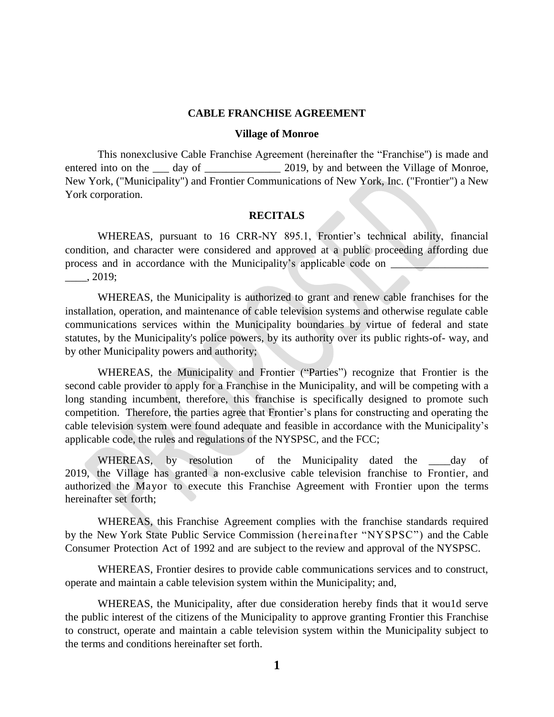#### **CABLE FRANCHISE AGREEMENT**

#### **Village of Monroe**

This nonexclusive Cable Franchise Agreement (hereinafter the "Franchise'') is made and entered into on the day of 2019, by and between the Village of Monroe, New York, ("Municipality") and Frontier Communications of New York, Inc. ("Frontier") a New York corporation.

#### **RECITALS**

WHEREAS, pursuant to 16 CRR-NY 895.1, Frontier's technical ability, financial condition, and character were considered and approved at a public proceeding affording due process and in accordance with the Municipality's applicable code on  $\Box$  $\_\_$ , 2019;

WHEREAS, the Municipality is authorized to grant and renew cable franchises for the installation, operation, and maintenance of cable television systems and otherwise regulate cable communications services within the Municipality boundaries by virtue of federal and state statutes, by the Municipality's police powers, by its authority over its public rights-of- way, and by other Municipality powers and authority;

WHEREAS, the Municipality and Frontier ("Parties") recognize that Frontier is the second cable provider to apply for a Franchise in the Municipality, and will be competing with a long standing incumbent, therefore, this franchise is specifically designed to promote such competition. Therefore, the parties agree that Frontier's plans for constructing and operating the cable television system were found adequate and feasible in accordance with the Municipality's applicable code, the rules and regulations of the NYSPSC, and the FCC;

WHEREAS, by resolution of the Municipality dated the day of 2019, the Village has granted a non-exclusive cable television franchise to Frontier, and authorized the Mayor to execute this Franchise Agreement with Frontier upon the terms hereinafter set forth;

WHEREAS, this Franchise Agreement complies with the franchise standards required by the New York State Public Service Commission (hereinafter "NYSPSC") and the Cable Consumer Protection Act of 1992 and are subject to the review and approval of the NYSPSC.

WHEREAS, Frontier desires to provide cable communications services and to construct, operate and maintain a cable television system within the Municipality; and,

WHEREAS, the Municipality, after due consideration hereby finds that it wou1d serve the public interest of the citizens of the Municipality to approve granting Frontier this Franchise to construct, operate and maintain a cable television system within the Municipality subject to the terms and conditions hereinafter set forth.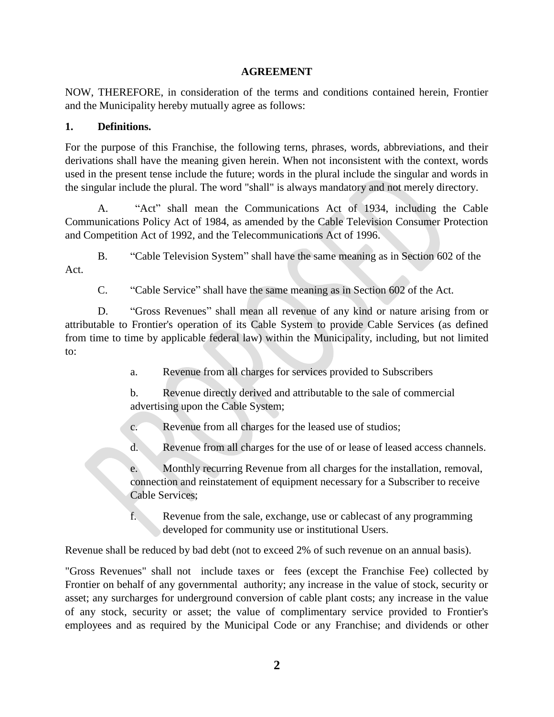## **AGREEMENT**

NOW, THEREFORE, in consideration of the terms and conditions contained herein, Frontier and the Municipality hereby mutually agree as follows:

## **1. Definitions.**

For the purpose of this Franchise, the following terns, phrases, words, abbreviations, and their derivations shall have the meaning given herein. When not inconsistent with the context, words used in the present tense include the future; words in the plural include the singular and words in the singular include the plural. The word "shall" is always mandatory and not merely directory.

A. "Act" shall mean the Communications Act of 1934, including the Cable Communications Policy Act of 1984, as amended by the Cable Television Consumer Protection and Competition Act of 1992, and the Telecommunications Act of 1996.

B. "Cable Television System" shall have the same meaning as in Section 602 of the Act.

C. "Cable Service" shall have the same meaning as in Section 602 of the Act.

D. "Gross Revenues" shall mean all revenue of any kind or nature arising from or attributable to Frontier's operation of its Cable System to provide Cable Services (as defined from time to time by applicable federal law) within the Municipality, including, but not limited to:

a. Revenue from all charges for services provided to Subscribers

b. Revenue directly derived and attributable to the sale of commercial advertising upon the Cable System;

c. Revenue from all charges for the leased use of studios;

d. Revenue from all charges for the use of or lease of leased access channels.

e. Monthly recurring Revenue from all charges for the installation, removal, connection and reinstatement of equipment necessary for a Subscriber to receive Cable Services;

f. Revenue from the sale, exchange, use or cablecast of any programming developed for community use or institutional Users.

Revenue shall be reduced by bad debt (not to exceed 2% of such revenue on an annual basis).

"Gross Revenues" shall not include taxes or fees (except the Franchise Fee) collected by Frontier on behalf of any governmental authority; any increase in the value of stock, security or asset; any surcharges for underground conversion of cable plant costs; any increase in the value of any stock, security or asset; the value of complimentary service provided to Frontier's employees and as required by the Municipal Code or any Franchise; and dividends or other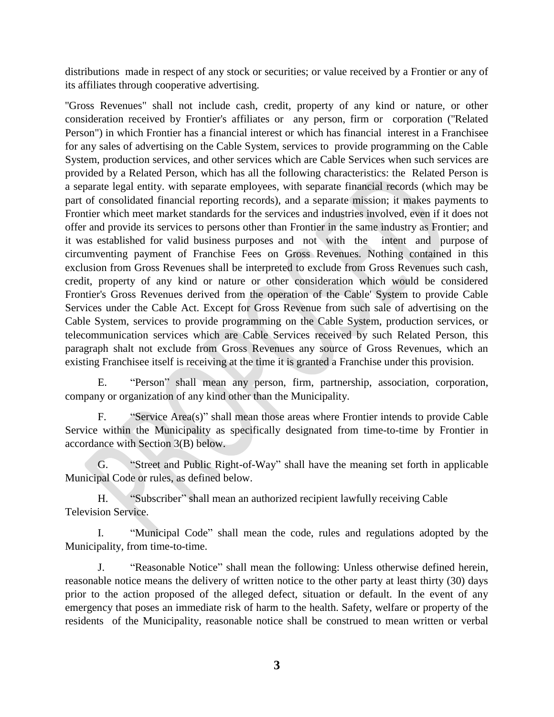distributions made in respect of any stock or securities; or value received by a Frontier or any of its affiliates through cooperative advertising.

"Gross Revenues" shall not include cash, credit, property of any kind or nature, or other consideration received by Frontier's affiliates or any person, firm or corporation (''Related Person") in which Frontier has a financial interest or which has financial interest in a Franchisee for any sales of advertising on the Cable System, services to provide programming on the Cable System, production services, and other services which are Cable Services when such services are provided by a Related Person, which has all the following characteristics: the Related Person is a separate legal entity. with separate employees, with separate financial records (which may be part of consolidated financial reporting records), and a separate mission; it makes payments to Frontier which meet market standards for the services and industries involved, even if it does not offer and provide its services to persons other than Frontier in the same industry as Frontier; and it was established for valid business purposes and not with the intent and purpose of circumventing payment of Franchise Fees on Gross Revenues. Nothing contained in this exclusion from Gross Revenues shall be interpreted to exclude from Gross Revenues such cash, credit, property of any kind or nature or other consideration which would be considered Frontier's Gross Revenues derived from the operation of the Cable' System to provide Cable Services under the Cable Act. Except for Gross Revenue from such sale of advertising on the Cable System, services to provide programming on the Cable System, production services, or telecommunication services which are Cable Services received by such Related Person, this paragraph shalt not exclude from Gross Revenues any source of Gross Revenues, which an existing Franchisee itself is receiving at the time it is granted a Franchise under this provision.

E. "Person" shall mean any person, firm, partnership, association, corporation, company or organization of any kind other than the Municipality.

F. "Service Area(s)" shall mean those areas where Frontier intends to provide Cable Service within the Municipality as specifically designated from time-to-time by Frontier in accordance with Section 3(B) below.

G. "Street and Public Right-of-Way" shall have the meaning set forth in applicable Municipal Code or rules, as defined below.

H. "Subscriber" shall mean an authorized recipient lawfully receiving Cable Television Service.

I. "Municipal Code" shall mean the code, rules and regulations adopted by the Municipality, from time-to-time.

J. "Reasonable Notice" shall mean the following: Unless otherwise defined herein, reasonable notice means the delivery of written notice to the other party at least thirty (30) days prior to the action proposed of the alleged defect, situation or default. In the event of any emergency that poses an immediate risk of harm to the health. Safety, welfare or property of the residents of the Municipality, reasonable notice shall be construed to mean written or verbal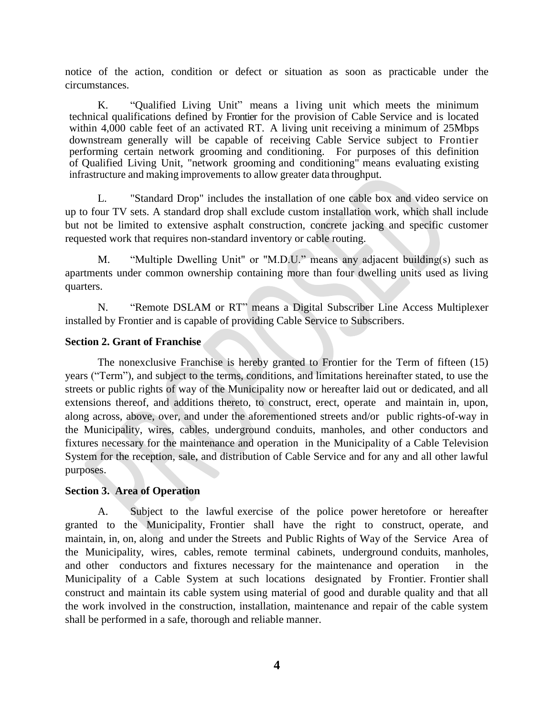notice of the action, condition or defect or situation as soon as practicable under the circumstances.

K. "Qualified Living Unit" means a living unit which meets the minimum technical qualifications defined by Frontier for the provision of Cable Service and is located within 4,000 cable feet of an activated RT. A living unit receiving a minimum of 25Mbps downstream generally will be capable of receiving Cable Service subject to Frontier performing certain network grooming and conditioning. For purposes of this definition of Qualified Living Unit, "network grooming and conditioning" means evaluating existing infrastructure and making improvements to allow greater data throughput.

L. "Standard Drop" includes the installation of one cable box and video service on up to four TV sets. A standard drop shall exclude custom installation work, which shall include but not be limited to extensive asphalt construction, concrete jacking and specific customer requested work that requires non-standard inventory or cable routing.

M. "Multiple Dwelling Unit" or "M.D.U." means any adjacent building(s) such as apartments under common ownership containing more than four dwelling units used as living quarters.

N. "Remote DSLAM or RT" means a Digital Subscriber Line Access Multiplexer installed by Frontier and is capable of providing Cable Service to Subscribers.

## **Section 2. Grant of Franchise**

The nonexclusive Franchise is hereby granted to Frontier for the Term of fifteen (15) years ("Term"), and subject to the terms, conditions, and limitations hereinafter stated, to use the streets or public rights of way of the Municipality now or hereafter laid out or dedicated, and all extensions thereof, and additions thereto, to construct, erect, operate and maintain in, upon, along across, above, over, and under the aforementioned streets and/or public rights-of-way in the Municipality, wires, cables, underground conduits, manholes, and other conductors and fixtures necessary for the maintenance and operation in the Municipality of a Cable Television System for the reception, sale, and distribution of Cable Service and for any and all other lawful purposes.

## **Section 3. Area of Operation**

A. Subject to the lawful exercise of the police power heretofore or hereafter granted to the Municipality, Frontier shall have the right to construct, operate, and maintain, in, on, along and under the Streets and Public Rights of Way of the Service Area of the Municipality, wires, cables, remote terminal cabinets, underground conduits, manholes, and other conductors and fixtures necessary for the maintenance and operation in the Municipality of a Cable System at such locations designated by Frontier. Frontier shall construct and maintain its cable system using material of good and durable quality and that all the work involved in the construction, installation, maintenance and repair of the cable system shall be performed in a safe, thorough and reliable manner.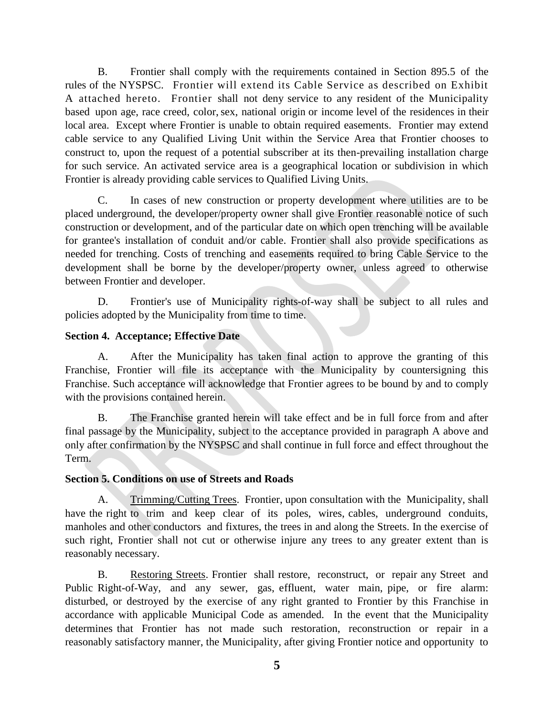B. Frontier shall comply with the requirements contained in Section 895.5 of the rules of the NYSPSC. Frontier will extend its Cable Service as described on Exhibit A attached hereto. Frontier shall not deny service to any resident of the Municipality based upon age, race creed, color, sex, national origin or income level of the residences in their local area. Except where Frontier is unable to obtain required easements. Frontier may extend cable service to any Qualified Living Unit within the Service Area that Frontier chooses to construct to, upon the request of a potential subscriber at its then-prevailing installation charge for such service. An activated service area is a geographical location or subdivision in which Frontier is already providing cable services to Qualified Living Units.

C. In cases of new construction or property development where utilities are to be placed underground, the developer/property owner shall give Frontier reasonable notice of such construction or development, and of the particular date on which open trenching will be available for grantee's installation of conduit and/or cable. Frontier shall also provide specifications as needed for trenching. Costs of trenching and easements required to bring Cable Service to the development shall be borne by the developer/property owner, unless agreed to otherwise between Frontier and developer.

D. Frontier's use of Municipality rights-of-way shall be subject to all rules and policies adopted by the Municipality from time to time.

# **Section 4. Acceptance; Effective Date**

A. After the Municipality has taken final action to approve the granting of this Franchise, Frontier will file its acceptance with the Municipality by countersigning this Franchise. Such acceptance will acknowledge that Frontier agrees to be bound by and to comply with the provisions contained herein.

B. The Franchise granted herein will take effect and be in full force from and after final passage by the Municipality, subject to the acceptance provided in paragraph A above and only after confirmation by the NYSPSC and shall continue in full force and effect throughout the Term.

# **Section 5. Conditions on use of Streets and Roads**

A. Trimming/Cutting Trees. Frontier, upon consultation with the Municipality, shall have the right to trim and keep clear of its poles, wires, cables, underground conduits, manholes and other conductors and fixtures, the trees in and along the Streets. In the exercise of such right, Frontier shall not cut or otherwise injure any trees to any greater extent than is reasonably necessary.

B. Restoring Streets. Frontier shall restore, reconstruct, or repair any Street and Public Right-of-Way, and any sewer, gas, effluent, water main, pipe, or fire alarm: disturbed, or destroyed by the exercise of any right granted to Frontier by this Franchise in accordance with applicable Municipal Code as amended. In the event that the Municipality determines that Frontier has not made such restoration, reconstruction or repair in a reasonably satisfactory manner, the Municipality, after giving Frontier notice and opportunity to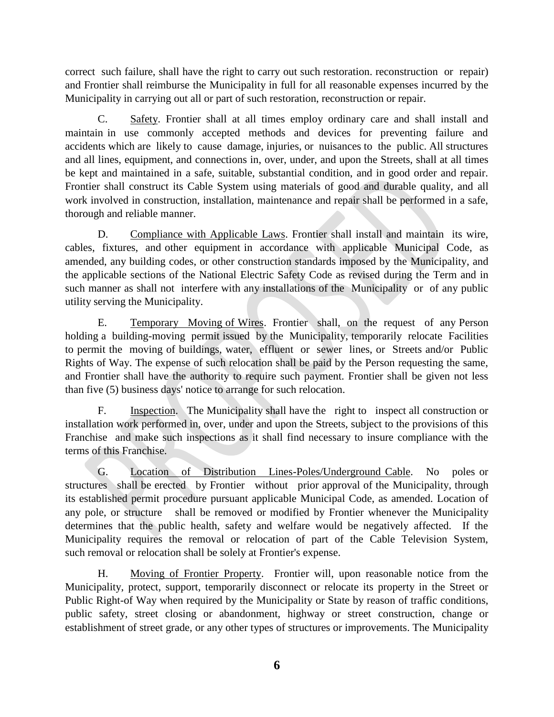correct such failure, shall have the right to carry out such restoration. reconstruction or repair) and Frontier shall reimburse the Municipality in full for all reasonable expenses incurred by the Municipality in carrying out all or part of such restoration, reconstruction or repair.

C. Safety. Frontier shall at all times employ ordinary care and shall install and maintain in use commonly accepted methods and devices for preventing failure and accidents which are likely to cause damage, injuries, or nuisances to the public. All structures and all lines, equipment, and connections in, over, under, and upon the Streets, shall at all times be kept and maintained in a safe, suitable, substantial condition, and in good order and repair. Frontier shall construct its Cable System using materials of good and durable quality, and all work involved in construction, installation, maintenance and repair shall be performed in a safe, thorough and reliable manner.

D. Compliance with Applicable Laws. Frontier shall install and maintain its wire, cables, fixtures, and other equipment in accordance with applicable Municipal Code, as amended, any building codes, or other construction standards imposed by the Municipality, and the applicable sections of the National Electric Safety Code as revised during the Term and in such manner as shall not interfere with any installations of the Municipality or of any public utility serving the Municipality.

E. Temporary Moving of Wires. Frontier shall, on the request of any Person holding a building-moving permit issued by the Municipality, temporarily relocate Facilities to permit the moving of buildings, water, effluent or sewer lines, or Streets and/or Public Rights of Way. The expense of such relocation shall be paid by the Person requesting the same, and Frontier shall have the authority to require such payment. Frontier shall be given not less than five (5) business days' notice to arrange for such relocation.

F. Inspection. The Municipality shall have the right to inspect all construction or installation work performed in, over, under and upon the Streets, subject to the provisions of this Franchise and make such inspections as it shall find necessary to insure compliance with the terms of this Franchise.

G. Location of Distribution Lines-Poles/Underground Cable. No poles or structures shall be erected by Frontier without prior approval of the Municipality, through its established permit procedure pursuant applicable Municipal Code, as amended. Location of any pole, or structure shall be removed or modified by Frontier whenever the Municipality determines that the public health, safety and welfare would be negatively affected. If the Municipality requires the removal or relocation of part of the Cable Television System, such removal or relocation shall be solely at Frontier's expense.

H. Moving of Frontier Property. Frontier will, upon reasonable notice from the Municipality, protect, support, temporarily disconnect or relocate its property in the Street or Public Right-of Way when required by the Municipality or State by reason of traffic conditions, public safety, street closing or abandonment, highway or street construction, change or establishment of street grade, or any other types of structures or improvements. The Municipality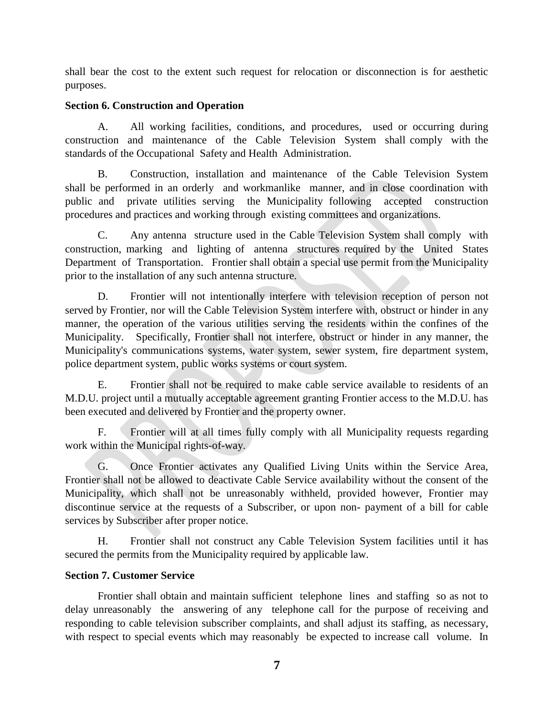shall bear the cost to the extent such request for relocation or disconnection is for aesthetic purposes.

# **Section 6. Construction and Operation**

A. All working facilities, conditions, and procedures, used or occurring during construction and maintenance of the Cable Television System shall comply with the standards of the Occupational Safety and Health Administration.

B. Construction, installation and maintenance of the Cable Television System shall be performed in an orderly and workmanlike manner, and in close coordination with public and private utilities serving the Municipality following accepted construction procedures and practices and working through existing committees and organizations.

C. Any antenna structure used in the Cable Television System shall comply with construction, marking and lighting of antenna structures required by the United States Department of Transportation. Frontier shall obtain a special use permit from the Municipality prior to the installation of any such antenna structure.

D. Frontier will not intentionally interfere with television reception of person not served by Frontier, nor will the Cable Television System interfere with, obstruct or hinder in any manner, the operation of the various utilities serving the residents within the confines of the Municipality. Specifically, Frontier shall not interfere, obstruct or hinder in any manner, the Municipality's communications systems, water system, sewer system, fire department system, police department system, public works systems or court system.

E. Frontier shall not be required to make cable service available to residents of an M.D.U. project until a mutually acceptable agreement granting Frontier access to the M.D.U. has been executed and delivered by Frontier and the property owner.

F. Frontier will at all times fully comply with all Municipality requests regarding work within the Municipal rights-of-way.

G. Once Frontier activates any Qualified Living Units within the Service Area, Frontier shall not be allowed to deactivate Cable Service availability without the consent of the Municipality, which shall not be unreasonably withheld, provided however, Frontier may discontinue service at the requests of a Subscriber, or upon non- payment of a bill for cable services by Subscriber after proper notice.

H. Frontier shall not construct any Cable Television System facilities until it has secured the permits from the Municipality required by applicable law.

# **Section 7. Customer Service**

Frontier shall obtain and maintain sufficient telephone lines and staffing so as not to delay unreasonably the answering of any telephone call for the purpose of receiving and responding to cable television subscriber complaints, and shall adjust its staffing, as necessary, with respect to special events which may reasonably be expected to increase call volume. In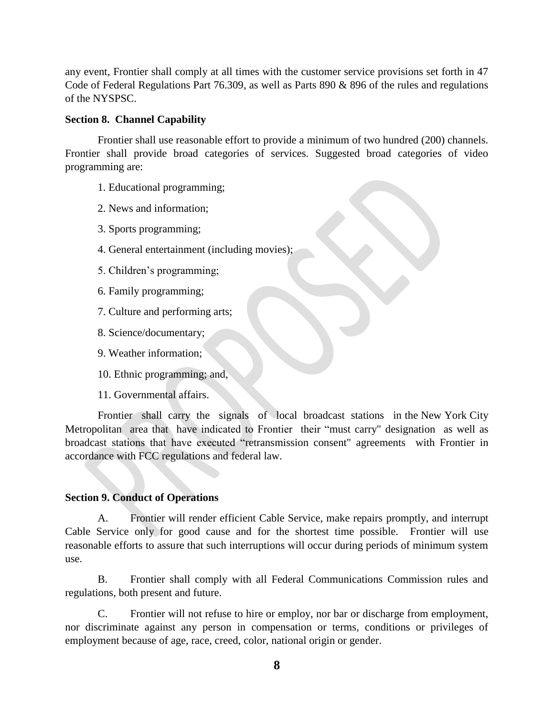any event, Frontier shall comply at all times with the customer service provisions set forth in 47 Code of Federal Regulations Part 76.309, as well as Parts 890 & 896 of the rules and regulations of the NYSPSC.

### **Section 8. Channel Capability**

Frontier shall use reasonable effort to provide a minimum of two hundred (200) channels. Frontier shall provide broad categories of services. Suggested broad categories of video programming are:

- 1. Educational programming;
- 2. News and information;
- 3. Sports programming;
- 4. General entertainment (including movies);
- 5. Children's programming;
- 6. Family programming;
- 7. Culture and performing arts;
- 8. Science/documentary;
- 9. Weather information;
- 10. Ethnic programming; and,
- 11. Governmental affairs.

Frontier shall carry the signals of local broadcast stations in the New York City Metropolitan area that have indicated to Frontier their "must carry" designation as well as broadcast stations that have executed "retransmission consent" agreements with Frontier in accordance with FCC regulations and federal law.

## **Section 9. Conduct of Operations**

A. Frontier will render efficient Cable Service, make repairs promptly, and interrupt Cable Service only for good cause and for the shortest time possible. Frontier will use reasonable efforts to assure that such interruptions will occur during periods of minimum system use.

B. Frontier shall comply with all Federal Communications Commission rules and regulations, both present and future.

C. Frontier will not refuse to hire or employ, nor bar or discharge from employment, nor discriminate against any person in compensation or terms, conditions or privileges of employment because of age, race, creed, color, national origin or gender.

**8**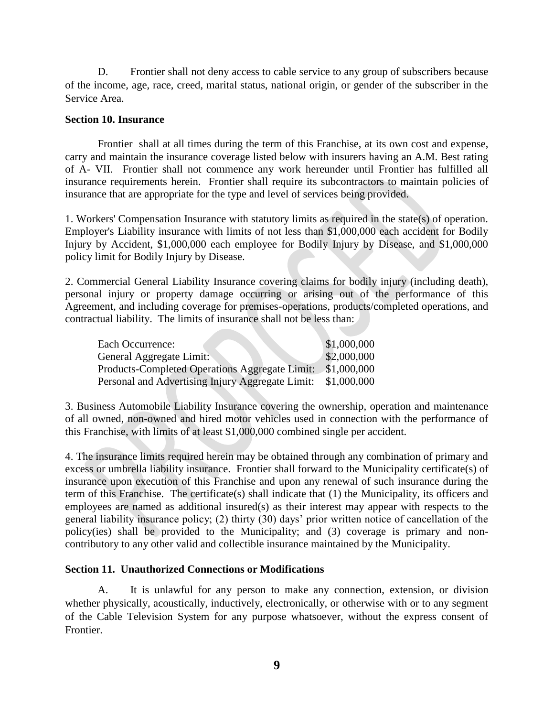D. Frontier shall not deny access to cable service to any group of subscribers because of the income, age, race, creed, marital status, national origin, or gender of the subscriber in the Service Area.

### **Section 10. Insurance**

Frontier shall at all times during the term of this Franchise, at its own cost and expense, carry and maintain the insurance coverage listed below with insurers having an A.M. Best rating of A- VII. Frontier shall not commence any work hereunder until Frontier has fulfilled all insurance requirements herein. Frontier shall require its subcontractors to maintain policies of insurance that are appropriate for the type and level of services being provided.

1. Workers' Compensation Insurance with statutory limits as required in the state(s) of operation. Employer's Liability insurance with limits of not less than \$1,000,000 each accident for Bodily Injury by Accident, \$1,000,000 each employee for Bodily Injury by Disease, and \$1,000,000 policy limit for Bodily Injury by Disease.

2. Commercial General Liability Insurance covering claims for bodily injury (including death), personal injury or property damage occurring or arising out of the performance of this Agreement, and including coverage for premises-operations, products/completed operations, and contractual liability. The limits of insurance shall not be less than:

| Each Occurrence:                                      | \$1,000,000 |
|-------------------------------------------------------|-------------|
| General Aggregate Limit:                              | \$2,000,000 |
| <b>Products-Completed Operations Aggregate Limit:</b> | \$1,000,000 |
| Personal and Advertising Injury Aggregate Limit:      | \$1,000,000 |

3. Business Automobile Liability Insurance covering the ownership, operation and maintenance of all owned, non-owned and hired motor vehicles used in connection with the performance of this Franchise, with limits of at least \$1,000,000 combined single per accident.

4. The insurance limits required herein may be obtained through any combination of primary and excess or umbrella liability insurance. Frontier shall forward to the Municipality certificate(s) of insurance upon execution of this Franchise and upon any renewal of such insurance during the term of this Franchise. The certificate(s) shall indicate that (1) the Municipality, its officers and employees are named as additional insured(s) as their interest may appear with respects to the general liability insurance policy; (2) thirty (30) days' prior written notice of cancellation of the policy(ies) shall be provided to the Municipality; and (3) coverage is primary and noncontributory to any other valid and collectible insurance maintained by the Municipality.

### **Section 11. Unauthorized Connections or Modifications**

A. It is unlawful for any person to make any connection, extension, or division whether physically, acoustically, inductively, electronically, or otherwise with or to any segment of the Cable Television System for any purpose whatsoever, without the express consent of Frontier.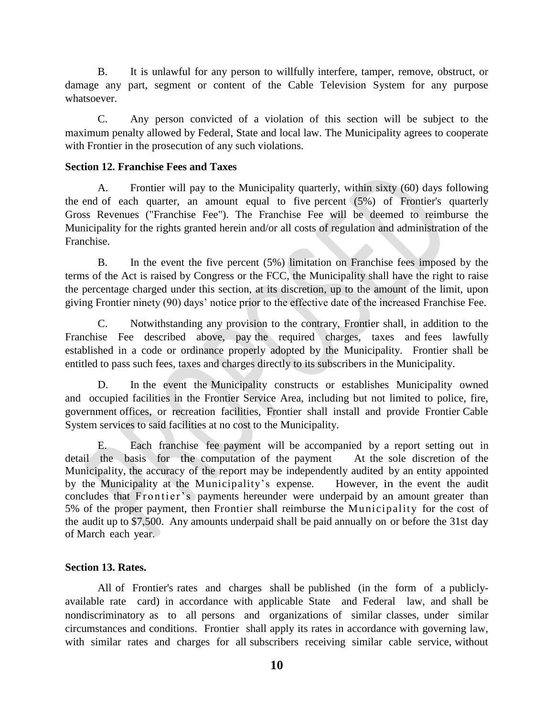B. It is unlawful for any person to willfully interfere, tamper, remove, obstruct, or damage any part, segment or content of the Cable Television System for any purpose whatsoever.

C. Any person convicted of a violation of this section will be subject to the maximum penalty allowed by Federal, State and local law. The Municipality agrees to cooperate with Frontier in the prosecution of any such violations.

## **Section 12. Franchise Fees and Taxes**

A. Frontier will pay to the Municipality quarterly, within sixty (60) days following the end of each quarter, an amount equal to five percent (5%) of Frontier's quarterly Gross Revenues ("Franchise Fee"). The Franchise Fee will be deemed to reimburse the Municipality for the rights granted herein and/or all costs of regulation and administration of the Franchise.

B. In the event the five percent (5%) limitation on Franchise fees imposed by the terms of the Act is raised by Congress or the FCC, the Municipality shall have the right to raise the percentage charged under this section, at its discretion, up to the amount of the limit, upon giving Frontier ninety (90) days' notice prior to the effective date of the increased Franchise Fee.

C. Notwithstanding any provision to the contrary, Frontier shall, in addition to the Franchise Fee described above, pay the required charges, taxes and fees lawfully established in a code or ordinance properly adopted by the Municipality. Frontier shall be entitled to pass such fees, taxes and charges directly to its subscribers in the Municipality.

D. In the event the Municipality constructs or establishes Municipality owned and occupied facilities in the Frontier Service Area, including but not limited to police, fire, government offices, or recreation facilities, Frontier shall install and provide Frontier Cable System services to said facilities at no cost to the Municipality.

E. Each franchise fee payment will be accompanied by a report setting out in detail the basis for the computation of the payment At the sole discretion of the Municipality, the accuracy of the report may be independently audited by an entity appointed by the Municipality at the Municipality's expense. However, in the event the audit concludes that Frontier's payments hereunder were underpaid by an amount greater than 5% of the proper payment, then Frontier shall reimburse the Municipality for the cost of the audit up to \$7,500. Any amounts underpaid shall be paid annually on or before the 31st day of March each year.

# **Section 13. Rates.**

All of Frontier's rates and charges shall be published (in the form of a publiclyavailable rate card) in accordance with applicable State and Federal law, and shall be nondiscriminatory as to all persons and organizations of similar classes, under similar circumstances and conditions. Frontier shall apply its rates in accordance with governing law, with similar rates and charges for all subscribers receiving similar cable service, without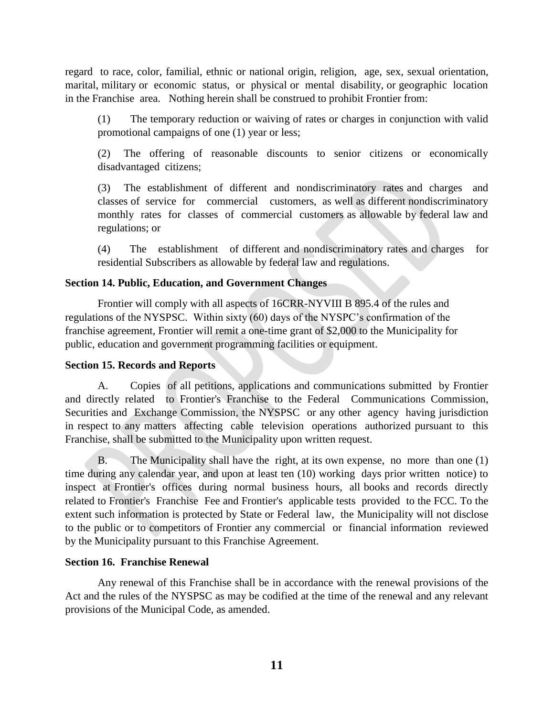regard to race, color, familial, ethnic or national origin, religion, age, sex, sexual orientation, marital, military or economic status, or physical or mental disability, or geographic location in the Franchise area. Nothing herein shall be construed to prohibit Frontier from:

(1) The temporary reduction or waiving of rates or charges in conjunction with valid promotional campaigns of one (1) year or less;

(2) The offering of reasonable discounts to senior citizens or economically disadvantaged citizens;

(3) The establishment of different and nondiscriminatory rates and charges and classes of service for commercial customers, as well as different nondiscriminatory monthly rates for classes of commercial customers as allowable by federal law and regulations; or

(4) The establishment of different and nondiscriminatory rates and charges for residential Subscribers as allowable by federal law and regulations.

## **Section 14. Public, Education, and Government Changes**

Frontier will comply with all aspects of 16CRR-NYVIII B 895.4 of the rules and regulations of the NYSPSC. Within sixty (60) days of the NYSPC's confirmation of the franchise agreement, Frontier will remit a one-time grant of \$2,000 to the Municipality for public, education and government programming facilities or equipment.

## **Section 15. Records and Reports**

A. Copies of all petitions, applications and communications submitted by Frontier and directly related to Frontier's Franchise to the Federal Communications Commission, Securities and Exchange Commission, the NYSPSC or any other agency having jurisdiction in respect to any matters affecting cable television operations authorized pursuant to this Franchise, shall be submitted to the Municipality upon written request.

B. The Municipality shall have the right, at its own expense, no more than one (1) time during any calendar year, and upon at least ten (10) working days prior written notice) to inspect at Frontier's offices during normal business hours, all books and records directly related to Frontier's Franchise Fee and Frontier's applicable tests provided to the FCC. To the extent such information is protected by State or Federal law, the Municipality will not disclose to the public or to competitors of Frontier any commercial or financial information reviewed by the Municipality pursuant to this Franchise Agreement.

## **Section 16. Franchise Renewal**

Any renewal of this Franchise shall be in accordance with the renewal provisions of the Act and the rules of the NYSPSC as may be codified at the time of the renewal and any relevant provisions of the Municipal Code, as amended.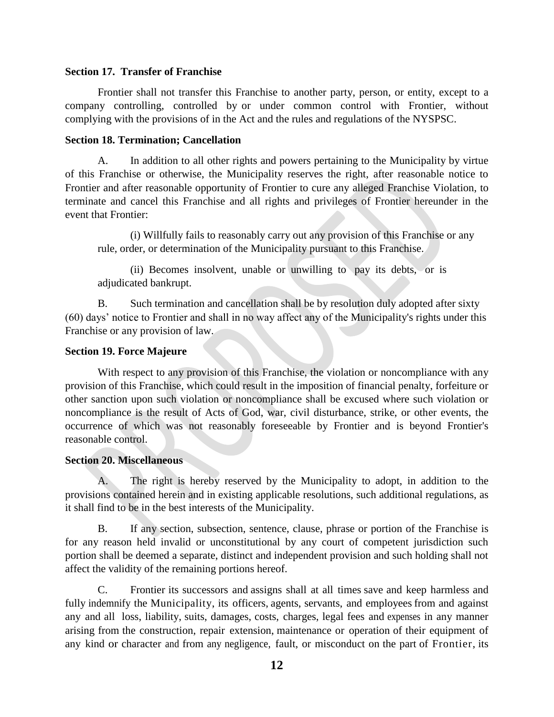### **Section 17. Transfer of Franchise**

Frontier shall not transfer this Franchise to another party, person, or entity, except to a company controlling, controlled by or under common control with Frontier, without complying with the provisions of in the Act and the rules and regulations of the NYSPSC.

### **Section 18. Termination; Cancellation**

A. In addition to all other rights and powers pertaining to the Municipality by virtue of this Franchise or otherwise, the Municipality reserves the right, after reasonable notice to Frontier and after reasonable opportunity of Frontier to cure any alleged Franchise Violation, to terminate and cancel this Franchise and all rights and privileges of Frontier hereunder in the event that Frontier:

(i) Willfully fails to reasonably carry out any provision of this Franchise or any rule, order, or determination of the Municipality pursuant to this Franchise.

(ii) Becomes insolvent, unable or unwilling to pay its debts, or is adjudicated bankrupt.

B. Such termination and cancellation shall be by resolution duly adopted after sixty (60) days' notice to Frontier and shall in no way affect any of the Municipality's rights under this Franchise or any provision of law.

## **Section 19. Force Majeure**

With respect to any provision of this Franchise, the violation or noncompliance with any provision of this Franchise, which could result in the imposition of financial penalty, forfeiture or other sanction upon such violation or noncompliance shall be excused where such violation or noncompliance is the result of Acts of God, war, civil disturbance, strike, or other events, the occurrence of which was not reasonably foreseeable by Frontier and is beyond Frontier's reasonable control.

## **Section 20. Miscellaneous**

A. The right is hereby reserved by the Municipality to adopt, in addition to the provisions contained herein and in existing applicable resolutions, such additional regulations, as it shall find to be in the best interests of the Municipality.

B. If any section, subsection, sentence, clause, phrase or portion of the Franchise is for any reason held invalid or unconstitutional by any court of competent jurisdiction such portion shall be deemed a separate, distinct and independent provision and such holding shall not affect the validity of the remaining portions hereof.

C. Frontier its successors and assigns shall at all times save and keep harmless and fully indemnify the Municipality, its officers, agents, servants, and employees from and against any and all loss, liability, suits, damages, costs, charges, legal fees and expenses in any manner arising from the construction, repair extension, maintenance or operation of their equipment of any kind or character and from any negligence, fault, or misconduct on the part of Frontier, its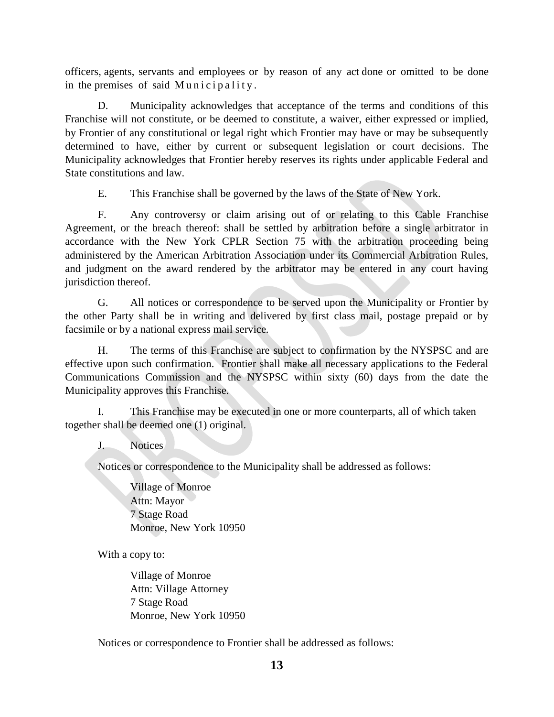officers, agents, servants and employees or by reason of any act done or omitted to be done in the premises of said Municipality.

D. Municipality acknowledges that acceptance of the terms and conditions of this Franchise will not constitute, or be deemed to constitute, a waiver, either expressed or implied, by Frontier of any constitutional or legal right which Frontier may have or may be subsequently determined to have, either by current or subsequent legislation or court decisions. The Municipality acknowledges that Frontier hereby reserves its rights under applicable Federal and State constitutions and law.

E. This Franchise shall be governed by the laws of the State of New York.

F. Any controversy or claim arising out of or relating to this Cable Franchise Agreement, or the breach thereof: shall be settled by arbitration before a single arbitrator in accordance with the New York CPLR Section 75 with the arbitration proceeding being administered by the American Arbitration Association under its Commercial Arbitration Rules, and judgment on the award rendered by the arbitrator may be entered in any court having jurisdiction thereof.

G. All notices or correspondence to be served upon the Municipality or Frontier by the other Party shall be in writing and delivered by first class mail, postage prepaid or by facsimile or by a national express mail service.

H. The terms of this Franchise are subject to confirmation by the NYSPSC and are effective upon such confirmation. Frontier shall make all necessary applications to the Federal Communications Commission and the NYSPSC within sixty (60) days from the date the Municipality approves this Franchise.

I. This Franchise may be executed in one or more counterparts, all of which taken together shall be deemed one (1) original.

J. Notices

Notices or correspondence to the Municipality shall be addressed as follows:

Village of Monroe Attn: Mayor 7 Stage Road Monroe, New York 10950

With a copy to:

Village of Monroe Attn: Village Attorney 7 Stage Road Monroe, New York 10950

Notices or correspondence to Frontier shall be addressed as follows: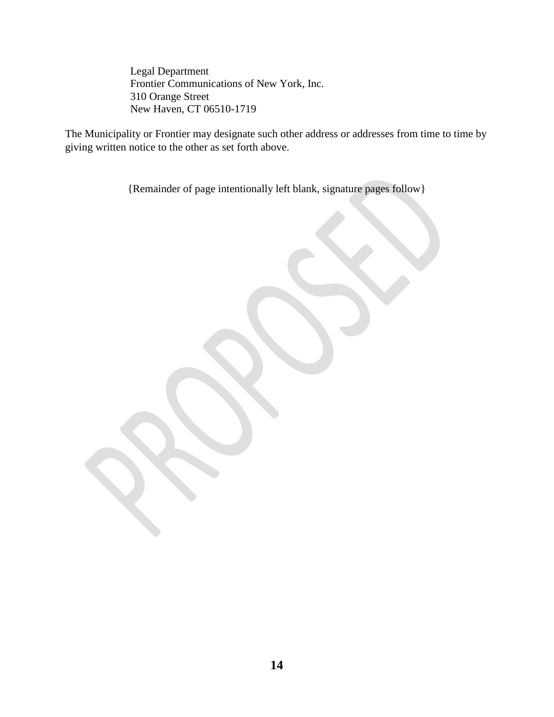Legal Department Frontier Communications of New York, Inc. 310 Orange Street New Haven, CT 06510-1719

The Municipality or Frontier may designate such other address or addresses from time to time by giving written notice to the other as set forth above.

{Remainder of page intentionally left blank, signature pages follow}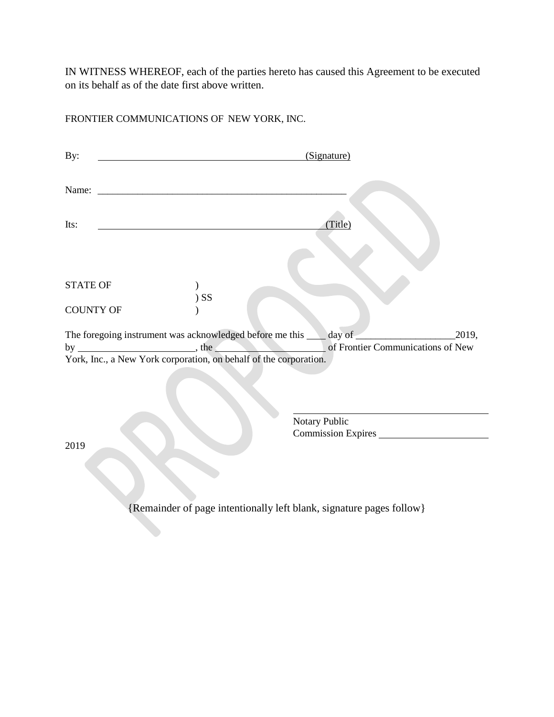IN WITNESS WHEREOF, each of the parties hereto has caused this Agreement to be executed on its behalf as of the date first above written.

FRONTIER COMMUNICATIONS OF NEW YORK, INC.

| By:              | (Signature)                                                                                                                                                                                                                                                                                                                                                                                                                    |
|------------------|--------------------------------------------------------------------------------------------------------------------------------------------------------------------------------------------------------------------------------------------------------------------------------------------------------------------------------------------------------------------------------------------------------------------------------|
| Name:            |                                                                                                                                                                                                                                                                                                                                                                                                                                |
| Its:             | (Title)                                                                                                                                                                                                                                                                                                                                                                                                                        |
| <b>STATE OF</b>  | $)$ SS                                                                                                                                                                                                                                                                                                                                                                                                                         |
| <b>COUNTY OF</b> |                                                                                                                                                                                                                                                                                                                                                                                                                                |
|                  | The foregoing instrument was acknowledged before me this ___ day of<br>2019,<br>of Frontier Communications of New<br><u> The Communication of the Communication of the Communication of the Communication of the Communication of the Communication of the Communication of the Communication of the Communication of the Communication of the Commun</u><br>York, Inc., a New York corporation, on behalf of the corporation. |
| 2019             | Notary Public<br>Commission Expires                                                                                                                                                                                                                                                                                                                                                                                            |
|                  |                                                                                                                                                                                                                                                                                                                                                                                                                                |

{Remainder of page intentionally left blank, signature pages follow}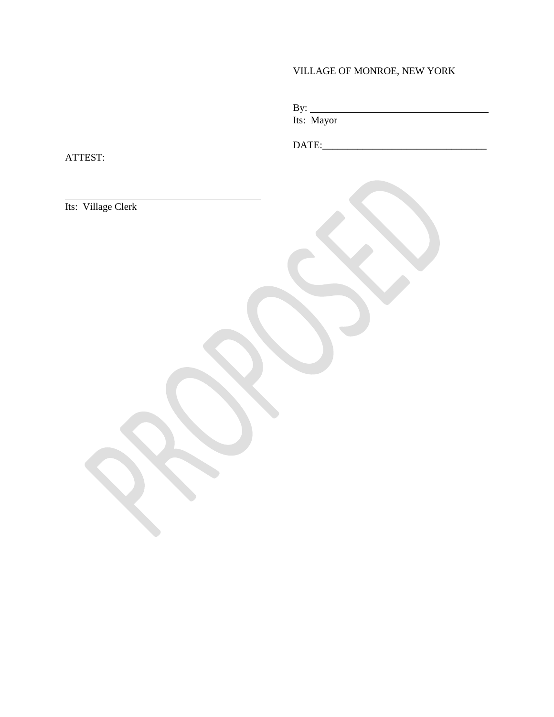# VILLAGE OF MONROE, NEW YORK

| <u>.</u> |                           |  |  |
|----------|---------------------------|--|--|
|          | $\mathbf{L}$ $\mathbf{M}$ |  |  |

Its: Mayor

DATE:\_\_\_\_\_\_\_\_\_\_\_\_\_\_\_\_\_\_\_\_\_\_\_\_\_\_\_\_\_\_\_\_\_

ATTEST:

Its: Village Clerk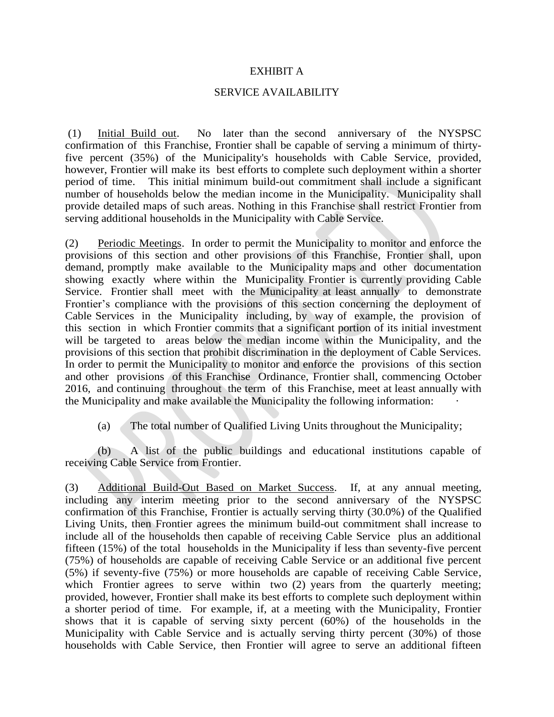### EXHIBIT A

### SERVICE AVAILABILITY

(1) Initial Build out. No later than the second anniversary of the NYSPSC confirmation of this Franchise, Frontier shall be capable of serving a minimum of thirtyfive percent (35%) of the Municipality's households with Cable Service, provided, however, Frontier will make its best efforts to complete such deployment within a shorter period of time. This initial minimum build-out commitment shall include a significant number of households below the median income in the Municipality. Municipality shall provide detailed maps of such areas. Nothing in this Franchise shall restrict Frontier from serving additional households in the Municipality with Cable Service.

(2) Periodic Meetings. In order to permit the Municipality to monitor and enforce the provisions of this section and other provisions of this Franchise, Frontier shall, upon demand, promptly make available to the Municipality maps and other documentation showing exactly where within the Municipality Frontier is currently providing Cable Service. Frontier shall meet with the Municipality at least annually to demonstrate Frontier's compliance with the provisions of this section concerning the deployment of Cable Services in the Municipality including, by way of example, the provision of this section in which Frontier commits that a significant portion of its initial investment will be targeted to areas below the median income within the Municipality, and the provisions of this section that prohibit discrimination in the deployment of Cable Services. In order to permit the Municipality to monitor and enforce the provisions of this section and other provisions of this Franchise Ordinance, Frontier shall, commencing October 2016, and continuing throughout the term of this Franchise, meet at least annually with the Municipality and make available the Municipality the following information: ·

(a) The total number of Qualified Living Units throughout the Municipality;

(b) A list of the public buildings and educational institutions capable of receiving Cable Service from Frontier.

(3) Additional Build-Out Based on Market Success. If, at any annual meeting, including any interim meeting prior to the second anniversary of the NYSPSC confirmation of this Franchise, Frontier is actually serving thirty (30.0%) of the Qualified Living Units, then Frontier agrees the minimum build-out commitment shall increase to include all of the households then capable of receiving Cable Service plus an additional fifteen (15%) of the total households in the Municipality if less than seventy-five percent (75%) of households are capable of receiving Cable Service or an additional five percent (5%) if seventy-five (75%) or more households are capable of receiving Cable Service, which Frontier agrees to serve within two (2) years from the quarterly meeting; provided, however, Frontier shall make its best efforts to complete such deployment within a shorter period of time. For example, if, at a meeting with the Municipality, Frontier shows that it is capable of serving sixty percent (60%) of the households in the Municipality with Cable Service and is actually serving thirty percent (30%) of those households with Cable Service, then Frontier will agree to serve an additional fifteen